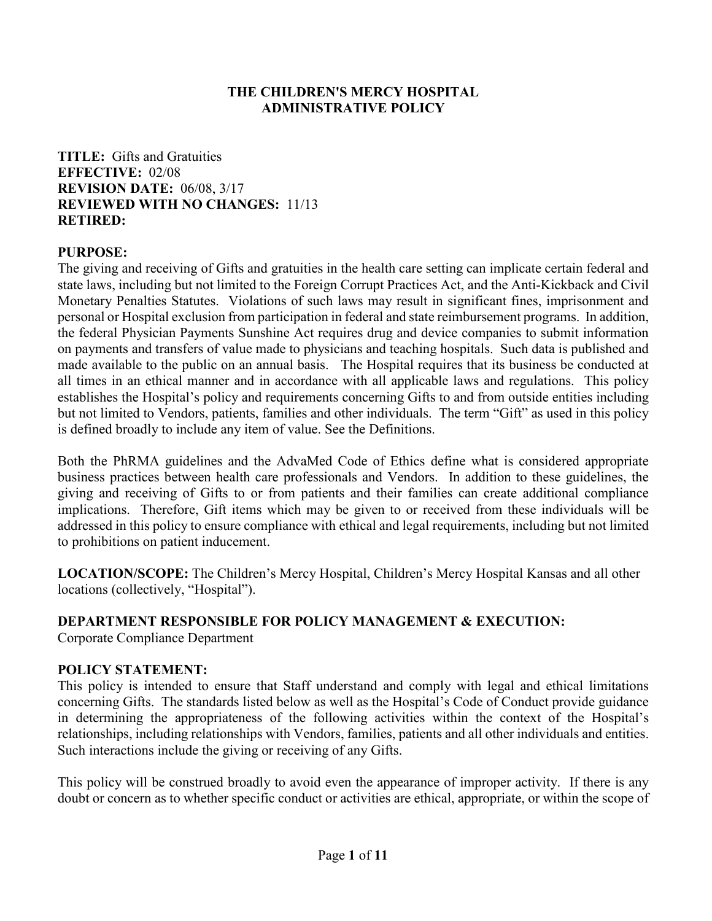#### **THE CHILDREN'S MERCY HOSPITAL ADMINISTRATIVE POLICY**

**TITLE:** Gifts and Gratuities **EFFECTIVE:** 02/08 **REVISION DATE:** 06/08, 3/17 **REVIEWED WITH NO CHANGES:** 11/13 **RETIRED:** 

## **PURPOSE:**

The giving and receiving of Gifts and gratuities in the health care setting can implicate certain federal and state laws, including but not limited to the Foreign Corrupt Practices Act, and the Anti-Kickback and Civil Monetary Penalties Statutes. Violations of such laws may result in significant fines, imprisonment and personal or Hospital exclusion from participation in federal and state reimbursement programs. In addition, the federal Physician Payments Sunshine Act requires drug and device companies to submit information on payments and transfers of value made to physicians and teaching hospitals. Such data is published and made available to the public on an annual basis. The Hospital requires that its business be conducted at all times in an ethical manner and in accordance with all applicable laws and regulations. This policy establishes the Hospital's policy and requirements concerning Gifts to and from outside entities including but not limited to Vendors, patients, families and other individuals. The term "Gift" as used in this policy is defined broadly to include any item of value. See the Definitions.

Both the PhRMA guidelines and the AdvaMed Code of Ethics define what is considered appropriate business practices between health care professionals and Vendors. In addition to these guidelines, the giving and receiving of Gifts to or from patients and their families can create additional compliance implications. Therefore, Gift items which may be given to or received from these individuals will be addressed in this policy to ensure compliance with ethical and legal requirements, including but not limited to prohibitions on patient inducement.

**LOCATION/SCOPE:** The Children's Mercy Hospital, Children's Mercy Hospital Kansas and all other locations (collectively, "Hospital").

#### **DEPARTMENT RESPONSIBLE FOR POLICY MANAGEMENT & EXECUTION:**

Corporate Compliance Department

#### **POLICY STATEMENT:**

This policy is intended to ensure that Staff understand and comply with legal and ethical limitations concerning Gifts. The standards listed below as well as the Hospital's Code of Conduct provide guidance in determining the appropriateness of the following activities within the context of the Hospital's relationships, including relationships with Vendors, families, patients and all other individuals and entities. Such interactions include the giving or receiving of any Gifts.

This policy will be construed broadly to avoid even the appearance of improper activity. If there is any doubt or concern as to whether specific conduct or activities are ethical, appropriate, or within the scope of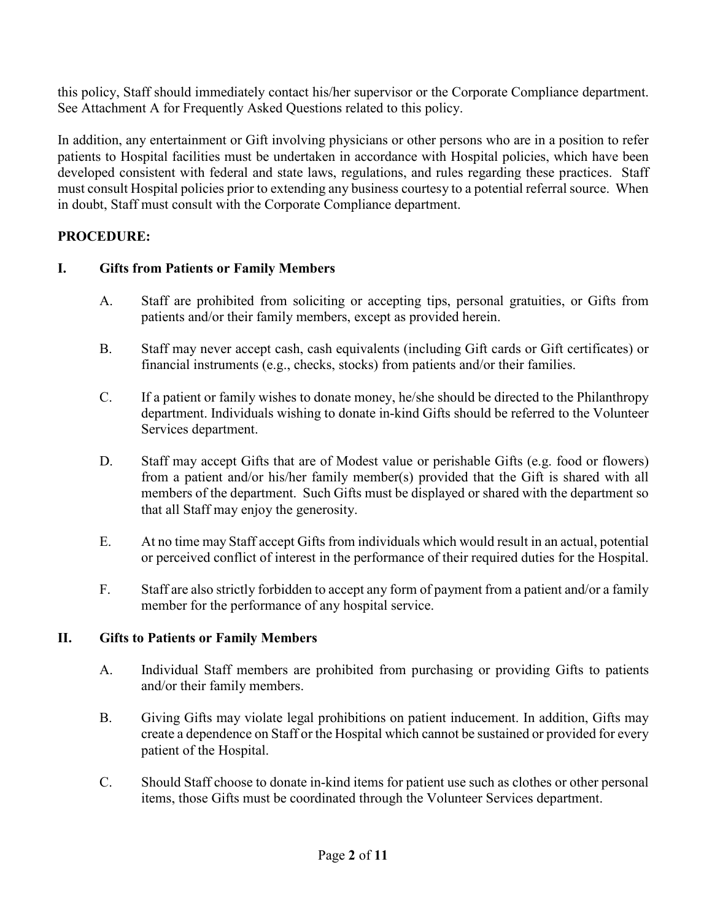this policy, Staff should immediately contact his/her supervisor or the Corporate Compliance department. See Attachment A for Frequently Asked Questions related to this policy.

In addition, any entertainment or Gift involving physicians or other persons who are in a position to refer patients to Hospital facilities must be undertaken in accordance with Hospital policies, which have been developed consistent with federal and state laws, regulations, and rules regarding these practices. Staff must consult Hospital policies prior to extending any business courtesy to a potential referral source. When in doubt, Staff must consult with the Corporate Compliance department.

# **PROCEDURE:**

# **I. Gifts from Patients or Family Members**

- A. Staff are prohibited from soliciting or accepting tips, personal gratuities, or Gifts from patients and/or their family members, except as provided herein.
- B. Staff may never accept cash, cash equivalents (including Gift cards or Gift certificates) or financial instruments (e.g., checks, stocks) from patients and/or their families.
- C. If a patient or family wishes to donate money, he/she should be directed to the Philanthropy department. Individuals wishing to donate in-kind Gifts should be referred to the Volunteer Services department.
- D. Staff may accept Gifts that are of Modest value or perishable Gifts (e.g. food or flowers) from a patient and/or his/her family member(s) provided that the Gift is shared with all members of the department. Such Gifts must be displayed or shared with the department so that all Staff may enjoy the generosity.
- E. At no time may Staff accept Gifts from individuals which would result in an actual, potential or perceived conflict of interest in the performance of their required duties for the Hospital.
- F. Staff are also strictly forbidden to accept any form of payment from a patient and/or a family member for the performance of any hospital service.

# **II. Gifts to Patients or Family Members**

- A. Individual Staff members are prohibited from purchasing or providing Gifts to patients and/or their family members.
- B. Giving Gifts may violate legal prohibitions on patient inducement. In addition, Gifts may create a dependence on Staff or the Hospital which cannot be sustained or provided for every patient of the Hospital.
- C. Should Staff choose to donate in-kind items for patient use such as clothes or other personal items, those Gifts must be coordinated through the Volunteer Services department.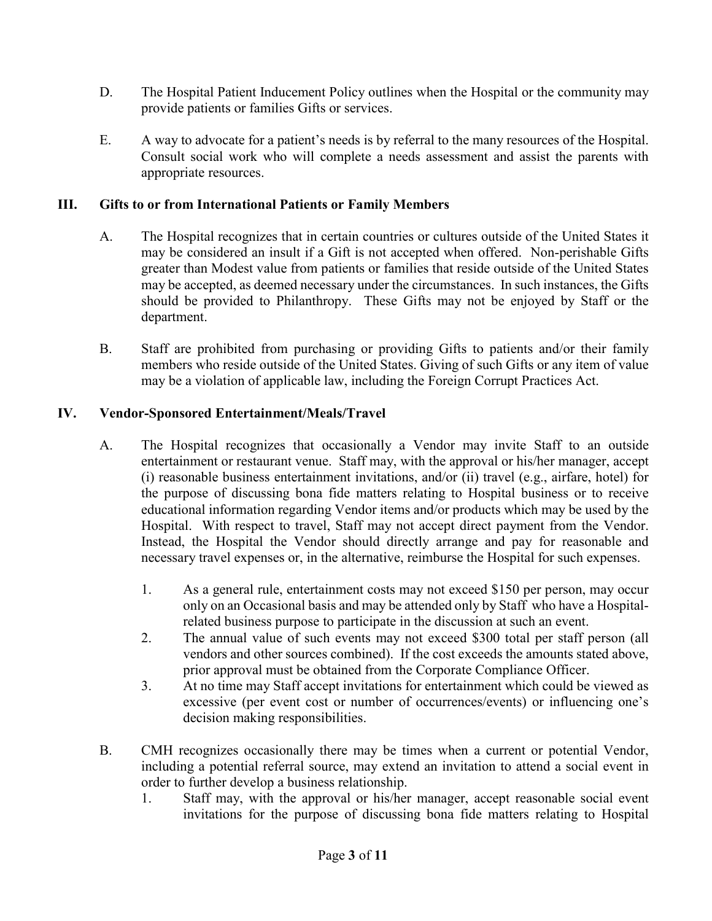- D. The Hospital Patient Inducement Policy outlines when the Hospital or the community may provide patients or families Gifts or services.
- E. A way to advocate for a patient's needs is by referral to the many resources of the Hospital. Consult social work who will complete a needs assessment and assist the parents with appropriate resources.

## **III. Gifts to or from International Patients or Family Members**

- A. The Hospital recognizes that in certain countries or cultures outside of the United States it may be considered an insult if a Gift is not accepted when offered. Non-perishable Gifts greater than Modest value from patients or families that reside outside of the United States may be accepted, as deemed necessary under the circumstances. In such instances, the Gifts should be provided to Philanthropy. These Gifts may not be enjoyed by Staff or the department.
- B. Staff are prohibited from purchasing or providing Gifts to patients and/or their family members who reside outside of the United States. Giving of such Gifts or any item of value may be a violation of applicable law, including the Foreign Corrupt Practices Act.

## **IV. Vendor-Sponsored Entertainment/Meals/Travel**

- A. The Hospital recognizes that occasionally a Vendor may invite Staff to an outside entertainment or restaurant venue. Staff may, with the approval or his/her manager, accept (i) reasonable business entertainment invitations, and/or (ii) travel (e.g., airfare, hotel) for the purpose of discussing bona fide matters relating to Hospital business or to receive educational information regarding Vendor items and/or products which may be used by the Hospital. With respect to travel, Staff may not accept direct payment from the Vendor. Instead, the Hospital the Vendor should directly arrange and pay for reasonable and necessary travel expenses or, in the alternative, reimburse the Hospital for such expenses.
	- 1. As a general rule, entertainment costs may not exceed \$150 per person, may occur only on an Occasional basis and may be attended only by Staff who have a Hospitalrelated business purpose to participate in the discussion at such an event.
	- 2. The annual value of such events may not exceed \$300 total per staff person (all vendors and other sources combined). If the cost exceeds the amounts stated above, prior approval must be obtained from the Corporate Compliance Officer.
	- 3. At no time may Staff accept invitations for entertainment which could be viewed as excessive (per event cost or number of occurrences/events) or influencing one's decision making responsibilities.
- B. CMH recognizes occasionally there may be times when a current or potential Vendor, including a potential referral source, may extend an invitation to attend a social event in order to further develop a business relationship.
	- 1. Staff may, with the approval or his/her manager, accept reasonable social event invitations for the purpose of discussing bona fide matters relating to Hospital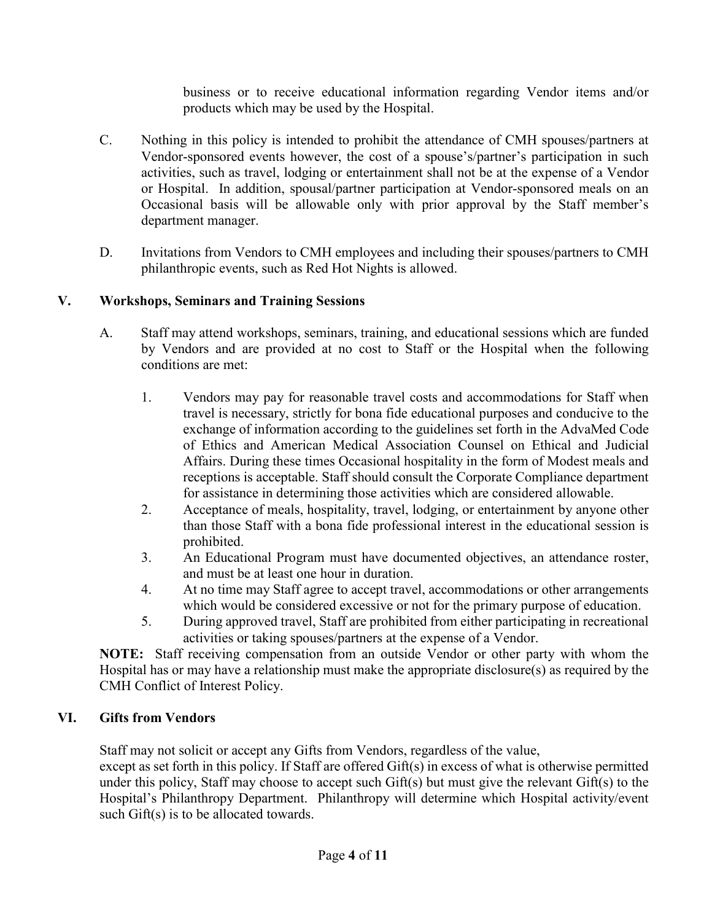business or to receive educational information regarding Vendor items and/or products which may be used by the Hospital.

- C. Nothing in this policy is intended to prohibit the attendance of CMH spouses/partners at Vendor-sponsored events however, the cost of a spouse's/partner's participation in such activities, such as travel, lodging or entertainment shall not be at the expense of a Vendor or Hospital. In addition, spousal/partner participation at Vendor-sponsored meals on an Occasional basis will be allowable only with prior approval by the Staff member's department manager.
- D. Invitations from Vendors to CMH employees and including their spouses/partners to CMH philanthropic events, such as Red Hot Nights is allowed.

# **V. Workshops, Seminars and Training Sessions**

- A. Staff may attend workshops, seminars, training, and educational sessions which are funded by Vendors and are provided at no cost to Staff or the Hospital when the following conditions are met:
	- 1. Vendors may pay for reasonable travel costs and accommodations for Staff when travel is necessary, strictly for bona fide educational purposes and conducive to the exchange of information according to the guidelines set forth in the AdvaMed Code of Ethics and American Medical Association Counsel on Ethical and Judicial Affairs. During these times Occasional hospitality in the form of Modest meals and receptions is acceptable. Staff should consult the Corporate Compliance department for assistance in determining those activities which are considered allowable.
	- 2. Acceptance of meals, hospitality, travel, lodging, or entertainment by anyone other than those Staff with a bona fide professional interest in the educational session is prohibited.
	- 3. An Educational Program must have documented objectives, an attendance roster, and must be at least one hour in duration.
	- 4. At no time may Staff agree to accept travel, accommodations or other arrangements which would be considered excessive or not for the primary purpose of education.
	- 5. During approved travel, Staff are prohibited from either participating in recreational activities or taking spouses/partners at the expense of a Vendor.

**NOTE:** Staff receiving compensation from an outside Vendor or other party with whom the Hospital has or may have a relationship must make the appropriate disclosure(s) as required by the CMH Conflict of Interest Policy.

# **VI. Gifts from Vendors**

Staff may not solicit or accept any Gifts from Vendors, regardless of the value,

except as set forth in this policy. If Staff are offered Gift(s) in excess of what is otherwise permitted under this policy, Staff may choose to accept such Gift(s) but must give the relevant Gift(s) to the Hospital's Philanthropy Department. Philanthropy will determine which Hospital activity/event such Gift(s) is to be allocated towards.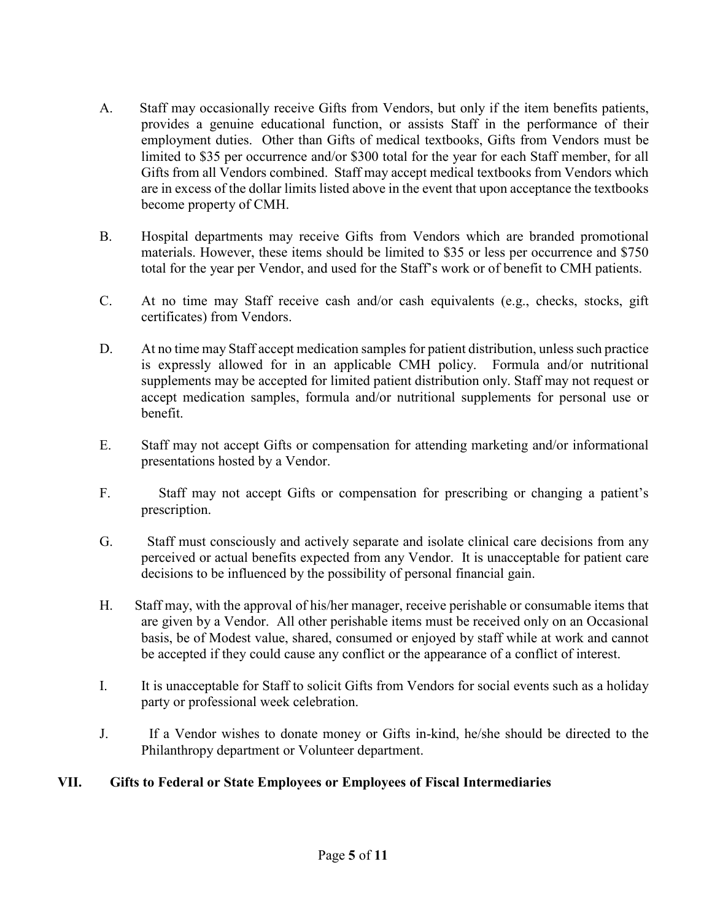- A. Staff may occasionally receive Gifts from Vendors, but only if the item benefits patients, provides a genuine educational function, or assists Staff in the performance of their employment duties. Other than Gifts of medical textbooks, Gifts from Vendors must be limited to \$35 per occurrence and/or \$300 total for the year for each Staff member, for all Gifts from all Vendors combined. Staff may accept medical textbooks from Vendors which are in excess of the dollar limits listed above in the event that upon acceptance the textbooks become property of CMH.
- B. Hospital departments may receive Gifts from Vendors which are branded promotional materials. However, these items should be limited to \$35 or less per occurrence and \$750 total for the year per Vendor, and used for the Staff's work or of benefit to CMH patients.
- C. At no time may Staff receive cash and/or cash equivalents (e.g., checks, stocks, gift certificates) from Vendors.
- D. At no time may Staff accept medication samples for patient distribution, unless such practice is expressly allowed for in an applicable CMH policy. Formula and/or nutritional supplements may be accepted for limited patient distribution only. Staff may not request or accept medication samples, formula and/or nutritional supplements for personal use or benefit.
- E. Staff may not accept Gifts or compensation for attending marketing and/or informational presentations hosted by a Vendor.
- F. Staff may not accept Gifts or compensation for prescribing or changing a patient's prescription.
- G. Staff must consciously and actively separate and isolate clinical care decisions from any perceived or actual benefits expected from any Vendor. It is unacceptable for patient care decisions to be influenced by the possibility of personal financial gain.
- H. Staff may, with the approval of his/her manager, receive perishable or consumable items that are given by a Vendor. All other perishable items must be received only on an Occasional basis, be of Modest value, shared, consumed or enjoyed by staff while at work and cannot be accepted if they could cause any conflict or the appearance of a conflict of interest.
- I. It is unacceptable for Staff to solicit Gifts from Vendors for social events such as a holiday party or professional week celebration.
- J. If a Vendor wishes to donate money or Gifts in-kind, he/she should be directed to the Philanthropy department or Volunteer department.

# **VII. Gifts to Federal or State Employees or Employees of Fiscal Intermediaries**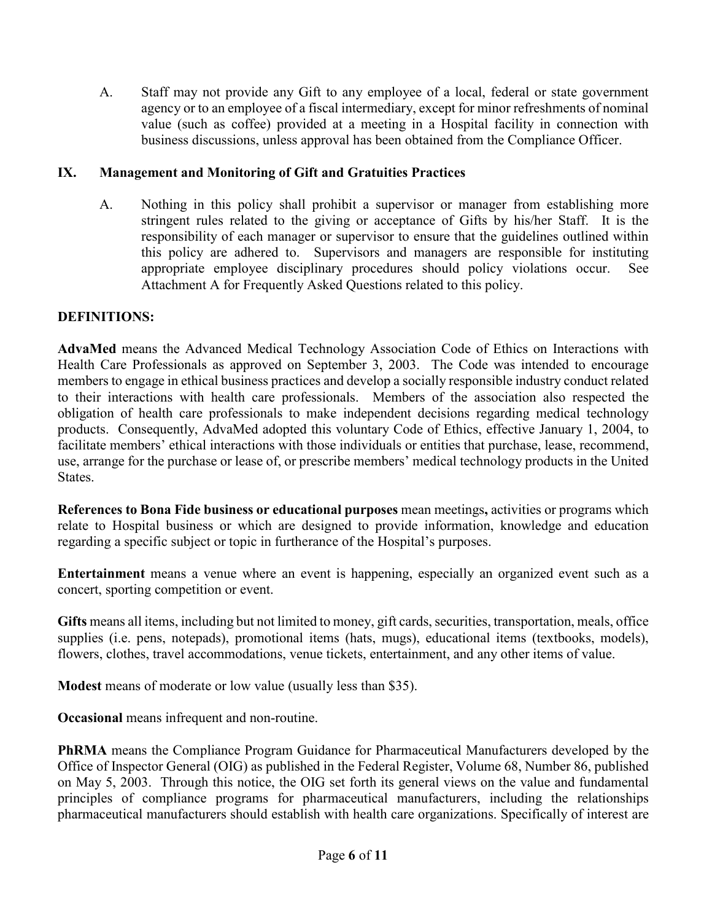A. Staff may not provide any Gift to any employee of a local, federal or state government agency or to an employee of a fiscal intermediary, except for minor refreshments of nominal value (such as coffee) provided at a meeting in a Hospital facility in connection with business discussions, unless approval has been obtained from the Compliance Officer.

## **IX. Management and Monitoring of Gift and Gratuities Practices**

A. Nothing in this policy shall prohibit a supervisor or manager from establishing more stringent rules related to the giving or acceptance of Gifts by his/her Staff. It is the responsibility of each manager or supervisor to ensure that the guidelines outlined within this policy are adhered to. Supervisors and managers are responsible for instituting appropriate employee disciplinary procedures should policy violations occur. See Attachment A for Frequently Asked Questions related to this policy.

## **DEFINITIONS:**

**AdvaMed** means the Advanced Medical Technology Association Code of Ethics on Interactions with Health Care Professionals as approved on September 3, 2003. The Code was intended to encourage members to engage in ethical business practices and develop a socially responsible industry conduct related to their interactions with health care professionals. Members of the association also respected the obligation of health care professionals to make independent decisions regarding medical technology products. Consequently, AdvaMed adopted this voluntary Code of Ethics, effective January 1, 2004, to facilitate members' ethical interactions with those individuals or entities that purchase, lease, recommend, use, arrange for the purchase or lease of, or prescribe members' medical technology products in the United States.

**References to Bona Fide business or educational purposes** mean meetings**,** activities or programs which relate to Hospital business or which are designed to provide information, knowledge and education regarding a specific subject or topic in furtherance of the Hospital's purposes.

**Entertainment** means a venue where an event is happening, especially an organized event such as a concert, sporting competition or event.

**Gifts** means all items, including but not limited to money, gift cards, securities, transportation, meals, office supplies (i.e. pens, notepads), promotional items (hats, mugs), educational items (textbooks, models), flowers, clothes, travel accommodations, venue tickets, entertainment, and any other items of value.

**Modest** means of moderate or low value (usually less than \$35).

**Occasional** means infrequent and non-routine.

**PhRMA** means the Compliance Program Guidance for Pharmaceutical Manufacturers developed by the Office of Inspector General (OIG) as published in the Federal Register, Volume 68, Number 86, published on May 5, 2003. Through this notice, the OIG set forth its general views on the value and fundamental principles of compliance programs for pharmaceutical manufacturers, including the relationships pharmaceutical manufacturers should establish with health care organizations. Specifically of interest are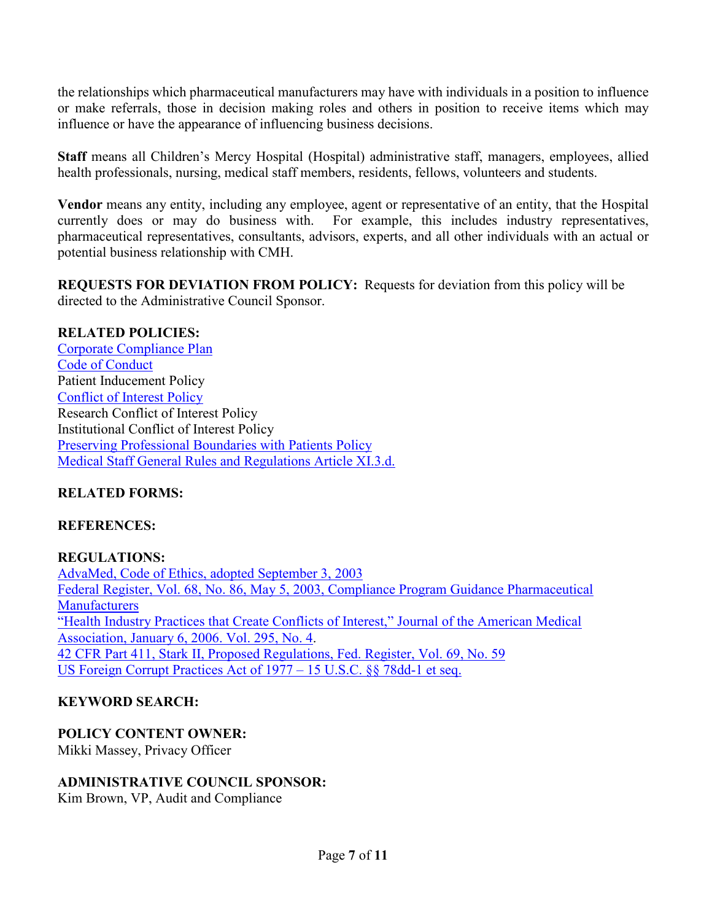the relationships which pharmaceutical manufacturers may have with individuals in a position to influence or make referrals, those in decision making roles and others in position to receive items which may influence or have the appearance of influencing business decisions.

**Staff** means all Children's Mercy Hospital (Hospital) administrative staff, managers, employees, allied health professionals, nursing, medical staff members, residents, fellows, volunteers and students.

**Vendor** means any entity, including any employee, agent or representative of an entity, that the Hospital currently does or may do business with. For example, this includes industry representatives, pharmaceutical representatives, consultants, advisors, experts, and all other individuals with an actual or [potential business relationsh](http://scope/content/uploadedfiles/CompliancePlan12-15-06.doc)ip with CMH.

**REQUESTS FOR DEVIATION FROM POLICY:** Requests for deviation from this policy will be directed to the Administrative Council Sponsor.

## **RELATED POLICIES:**

[Corporate Compl](http://scope/uploadedFiles/code%20of%20conduct%20090606.doc)iance Plan [Code of Conduct](http://scope/uploadedFiles/Departments/Corporate_Compliance/COI%20Policy%20Final%200409.doc) Patient Inducement Policy [Conflict of Interest Policy](http://scope/content/uploadedfiles/departments/administration/policies/preserving%20professional%20boundaries%20with%20patients.doc) Research Conflict of Interest Policy Institutional Conflict of Interest Policy [Preserving Professional Boundaries with Patients Policy](http://scope/content/uploadedFiles/Departments/Medical_Staff/Gen%20Rules%20and%20Regs%2006-18-13.pdf) Medical Staff General Rules and Regulations Article XI.3.d.

# **RELATED FORMS:**

#### **REFERENCES:**

**REGULATIONS:**  AdvaMed, Code of Ethics, adopted September 3, 2003 Federal Register, Vol. 68, No. 86, May 5, 2003, Compliance Program Guidance Pharmaceutical **[Manufacturers](http://www.ohsu.edu/.../Health-Industry-Practices-That-Create-Conflicts-of-Int...)** "Health Industry Practices that Create Conflicts of Interest," Journal of the American Medical [Association, January 6, 2006. Vol. 295, No. 4.](https://www.cms.gov/Medicare/Fraud-and-Abuse/PhysicianSelfReferral/index.html?redirect=/PhysicianSelfReferral/)  42 CFR Part 411, Stark II, Proposed Regulations, Fed. Register, Vol. 69, No. 59 US Foreign Corrupt Practices Act of 1977 – 15 U.S.C. §§ 78dd-1 et seq.

# **KEYWORD SEARCH:**

#### **POLICY CONTENT OWNER:**

Mikki Massey, Privacy Officer

#### **ADMINISTRATIVE COUNCIL SPONSOR:**

Kim Brown, VP, Audit and Compliance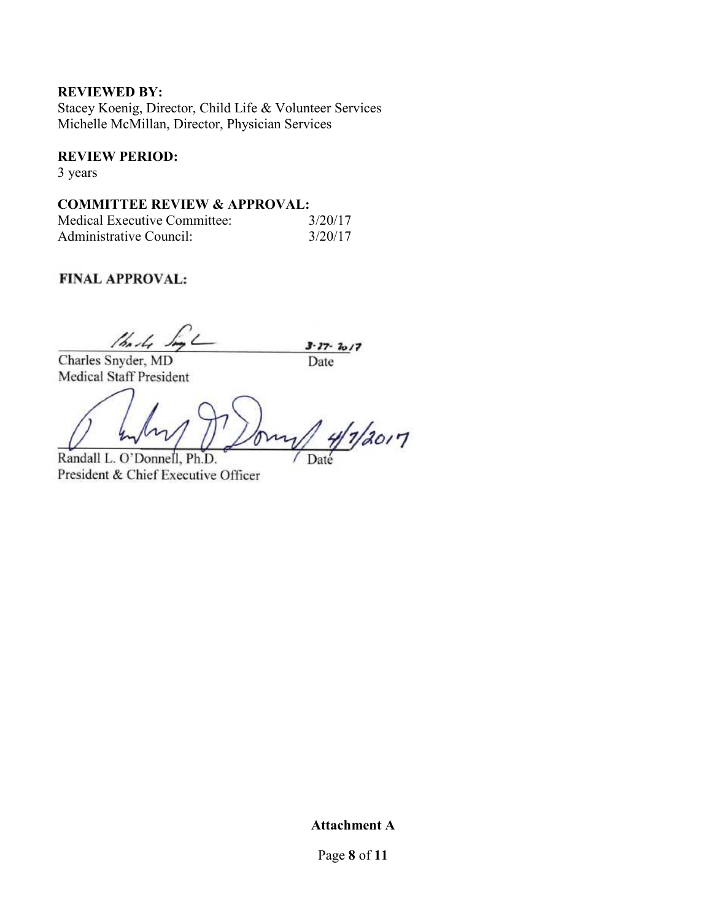#### **REVIEWED BY:**

Stacey Koenig, Director, Child Life & Volunteer Services Michelle McMillan, Director, Physician Services

#### **REVIEW PERIOD:**

3 years

#### **COMMITTEE REVIEW & APPROVAL:**

| Medical Executive Committee: | 3/20/17 |
|------------------------------|---------|
| Administrative Council:      | 3/20/17 |

# **FINAL APPROVAL:**

thanks ,  $3 - 27 - 2017$ Date

Charles Snyder, MD Medical Staff President

 $4/1/2017$ 

Randall L. O'Donnell, Ph.D. President & Chief Executive Officer

Date

**Attachment A** 

Page **8** of **11**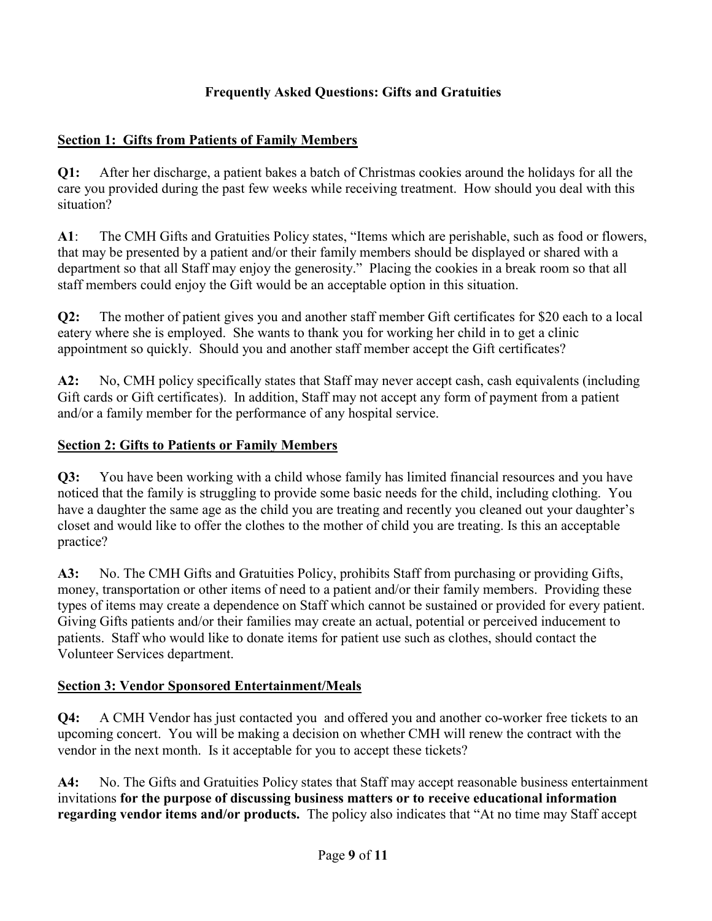# **Frequently Asked Questions: Gifts and Gratuities**

# **Section 1: Gifts from Patients of Family Members**

**Q1:** After her discharge, a patient bakes a batch of Christmas cookies around the holidays for all the care you provided during the past few weeks while receiving treatment. How should you deal with this situation?

**A1**: The CMH Gifts and Gratuities Policy states, "Items which are perishable, such as food or flowers, that may be presented by a patient and/or their family members should be displayed or shared with a department so that all Staff may enjoy the generosity." Placing the cookies in a break room so that all staff members could enjoy the Gift would be an acceptable option in this situation.

**Q2:** The mother of patient gives you and another staff member Gift certificates for \$20 each to a local eatery where she is employed. She wants to thank you for working her child in to get a clinic appointment so quickly. Should you and another staff member accept the Gift certificates?

**A2:** No, CMH policy specifically states that Staff may never accept cash, cash equivalents (including Gift cards or Gift certificates). In addition, Staff may not accept any form of payment from a patient and/or a family member for the performance of any hospital service.

# **Section 2: Gifts to Patients or Family Members**

**Q3:** You have been working with a child whose family has limited financial resources and you have noticed that the family is struggling to provide some basic needs for the child, including clothing. You have a daughter the same age as the child you are treating and recently you cleaned out your daughter's closet and would like to offer the clothes to the mother of child you are treating. Is this an acceptable practice?

**A3:** No. The CMH Gifts and Gratuities Policy, prohibits Staff from purchasing or providing Gifts, money, transportation or other items of need to a patient and/or their family members. Providing these types of items may create a dependence on Staff which cannot be sustained or provided for every patient. Giving Gifts patients and/or their families may create an actual, potential or perceived inducement to patients. Staff who would like to donate items for patient use such as clothes, should contact the Volunteer Services department.

# **Section 3: Vendor Sponsored Entertainment/Meals**

**Q4:** A CMH Vendor has just contacted you and offered you and another co-worker free tickets to an upcoming concert. You will be making a decision on whether CMH will renew the contract with the vendor in the next month. Is it acceptable for you to accept these tickets?

**A4:** No. The Gifts and Gratuities Policy states that Staff may accept reasonable business entertainment invitations **for the purpose of discussing business matters or to receive educational information regarding vendor items and/or products.** The policy also indicates that "At no time may Staff accept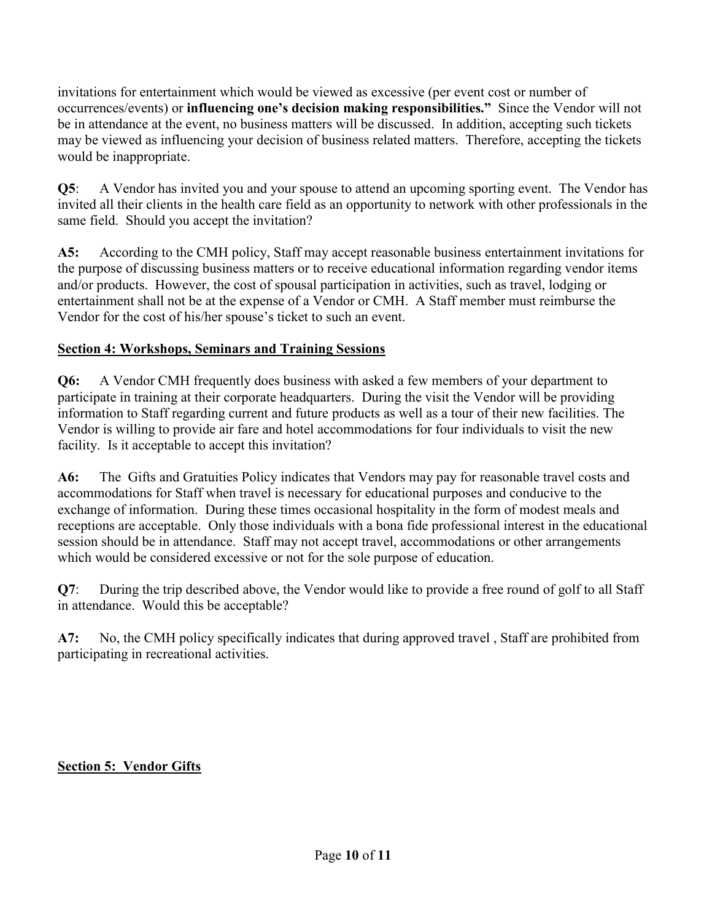invitations for entertainment which would be viewed as excessive (per event cost or number of occurrences/events) or **influencing one's decision making responsibilities."** Since the Vendor will not be in attendance at the event, no business matters will be discussed. In addition, accepting such tickets may be viewed as influencing your decision of business related matters. Therefore, accepting the tickets would be inappropriate.

**Q5**: A Vendor has invited you and your spouse to attend an upcoming sporting event. The Vendor has invited all their clients in the health care field as an opportunity to network with other professionals in the same field. Should you accept the invitation?

**A5:** According to the CMH policy, Staff may accept reasonable business entertainment invitations for the purpose of discussing business matters or to receive educational information regarding vendor items and/or products. However, the cost of spousal participation in activities, such as travel, lodging or entertainment shall not be at the expense of a Vendor or CMH. A Staff member must reimburse the Vendor for the cost of his/her spouse's ticket to such an event.

# **Section 4: Workshops, Seminars and Training Sessions**

**Q6:** A Vendor CMH frequently does business with asked a few members of your department to participate in training at their corporate headquarters. During the visit the Vendor will be providing information to Staff regarding current and future products as well as a tour of their new facilities. The Vendor is willing to provide air fare and hotel accommodations for four individuals to visit the new facility. Is it acceptable to accept this invitation?

**A6:** The Gifts and Gratuities Policy indicates that Vendors may pay for reasonable travel costs and accommodations for Staff when travel is necessary for educational purposes and conducive to the exchange of information. During these times occasional hospitality in the form of modest meals and receptions are acceptable. Only those individuals with a bona fide professional interest in the educational session should be in attendance. Staff may not accept travel, accommodations or other arrangements which would be considered excessive or not for the sole purpose of education.

**Q7**: During the trip described above, the Vendor would like to provide a free round of golf to all Staff in attendance. Would this be acceptable?

**A7:** No, the CMH policy specifically indicates that during approved travel , Staff are prohibited from participating in recreational activities.

# **Section 5: Vendor Gifts**